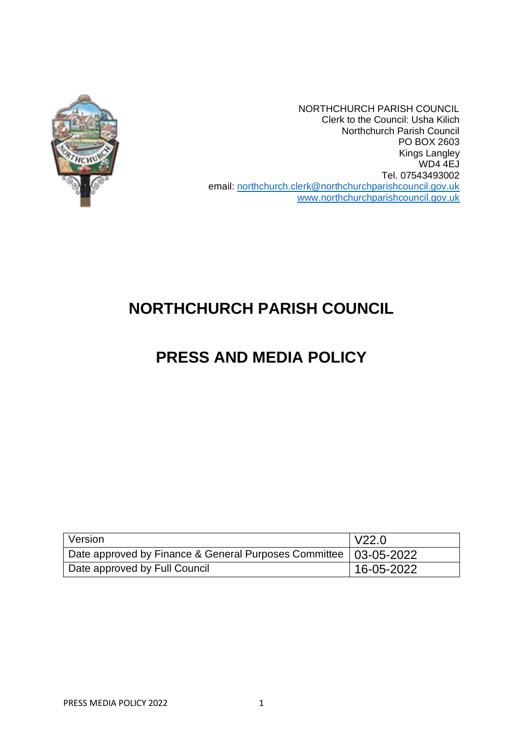

NORTHCHURCH PARISH COUNCIL Clerk to the Council: Usha Kilich Northchurch Parish Council PO BOX 2603 Kings Langley WD4 4EJ Tel. 07543493002 email: [northchurch.clerk@northchurchparishcouncil.gov.uk](mailto:northchurch.clerk@northchurchparishcouncil.gov.uk) [www.northchurchparishcouncil.gov.uk](http://www.northchurchparishcouncil.gov.uk/)

# **NORTHCHURCH PARISH COUNCIL**

# **PRESS AND MEDIA POLICY**

| Version                                                            | l V22.0    |
|--------------------------------------------------------------------|------------|
| Date approved by Finance & General Purposes Committee   03-05-2022 |            |
| Date approved by Full Council                                      | 16-05-2022 |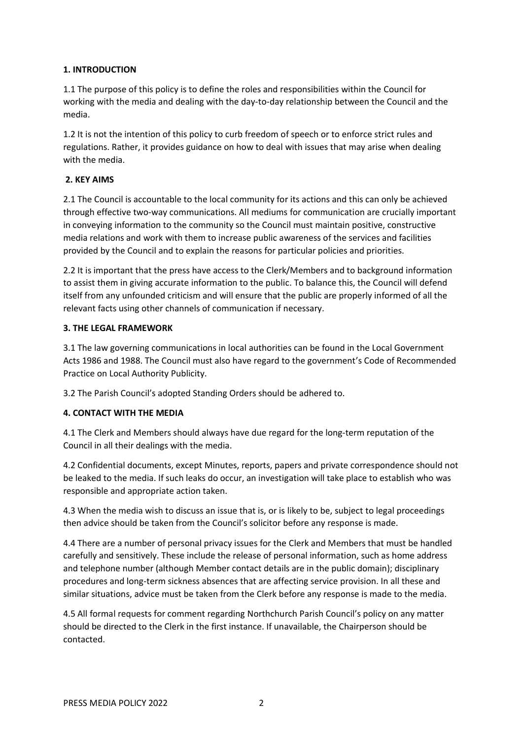# **1. INTRODUCTION**

1.1 The purpose of this policy is to define the roles and responsibilities within the Council for working with the media and dealing with the day-to-day relationship between the Council and the media.

1.2 It is not the intention of this policy to curb freedom of speech or to enforce strict rules and regulations. Rather, it provides guidance on how to deal with issues that may arise when dealing with the media.

# **2. KEY AIMS**

2.1 The Council is accountable to the local community for its actions and this can only be achieved through effective two‐way communications. All mediums for communication are crucially important in conveying information to the community so the Council must maintain positive, constructive media relations and work with them to increase public awareness of the services and facilities provided by the Council and to explain the reasons for particular policies and priorities.

2.2 It is important that the press have access to the Clerk/Members and to background information to assist them in giving accurate information to the public. To balance this, the Council will defend itself from any unfounded criticism and will ensure that the public are properly informed of all the relevant facts using other channels of communication if necessary.

#### **3. THE LEGAL FRAMEWORK**

3.1 The law governing communications in local authorities can be found in the Local Government Acts 1986 and 1988. The Council must also have regard to the government's Code of Recommended Practice on Local Authority Publicity.

3.2 The Parish Council's adopted Standing Orders should be adhered to.

# **4. CONTACT WITH THE MEDIA**

4.1 The Clerk and Members should always have due regard for the long‐term reputation of the Council in all their dealings with the media.

4.2 Confidential documents, except Minutes, reports, papers and private correspondence should not be leaked to the media. If such leaks do occur, an investigation will take place to establish who was responsible and appropriate action taken.

4.3 When the media wish to discuss an issue that is, or is likely to be, subject to legal proceedings then advice should be taken from the Council's solicitor before any response is made.

4.4 There are a number of personal privacy issues for the Clerk and Members that must be handled carefully and sensitively. These include the release of personal information, such as home address and telephone number (although Member contact details are in the public domain); disciplinary procedures and long‐term sickness absences that are affecting service provision. In all these and similar situations, advice must be taken from the Clerk before any response is made to the media.

4.5 All formal requests for comment regarding Northchurch Parish Council's policy on any matter should be directed to the Clerk in the first instance. If unavailable, the Chairperson should be contacted.